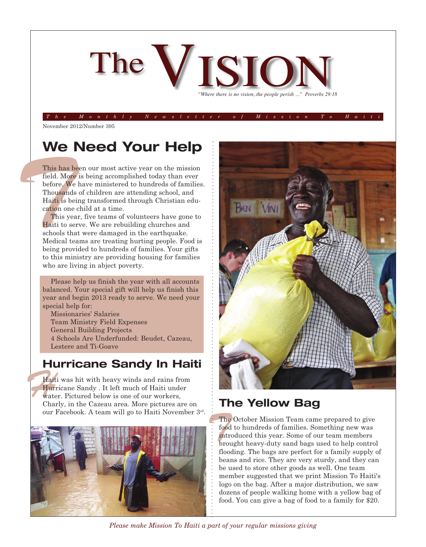

The Monthly Newsletter of Mission To Hait

November 2012/Number 395

### **We Need Your Help**

This has lield. Moreover, W<br>
Thousand Haiti is b<br>
cation one<br>
This ye<br>
Haiti to s<br>
schools the Medical theorem This has been our most active year on the mission field. More is being accomplished today than ever before. We have ministered to hundreds of families. Thousands of children are attending school, and Haiti is being transformed through Christian education one child at a time.

This year, five teams of volunteers have gone to Haiti to serve. We are rebuilding churches and schools that were damaged in the earthquake. Medical teams are treating hurting people. Food is being provided to hundreds of families. Your gifts to this ministry are providing housing for families who are living in abject poverty.

Please help us finish the year with all accounts balanced. Your special gift will help us finish this year and begin 2013 ready to serve. We need your special help for:

Missionaries' Salaries Team Ministry Field Expenses General Building Projects 4 Schools Are Underfunded: Beudet, Cazeau, Lestere and Ti-Goave

#### **Hurricane Sandy In Haiti**

Hait<br>Hur<br>wate<br>Cha Haiti was hit with heavy winds and rains from Hurricane Sandy . It left much of Haiti under water. Pictured below is one of our workers, Charly, in the Cazeau area. More pictures are on our Facebook. A team will go to Haiti November 3rd .





#### **The Yellow Bag**

 $\frac{1}{2}$  The<br> $\frac{1}{2}$  food<br> $\frac{1}{2}$  intr<br> $\frac{1}{2}$  bro The October Mission Team came prepared to give food to hundreds of families. Something new was introduced this year. Some of our team members brought heavy-duty sand bags used to help control flooding. The bags are perfect for a family supply of beans and rice. They are very sturdy, and they can be used to store other goods as well. One team member suggested that we print Mission To Haiti's logo on the bag. After a major distribution, we saw dozens of people walking home with a yellow bag of food. You can give a bag of food to a family for \$20.

*Please make Mission To Haiti a part of your regular missions giving*